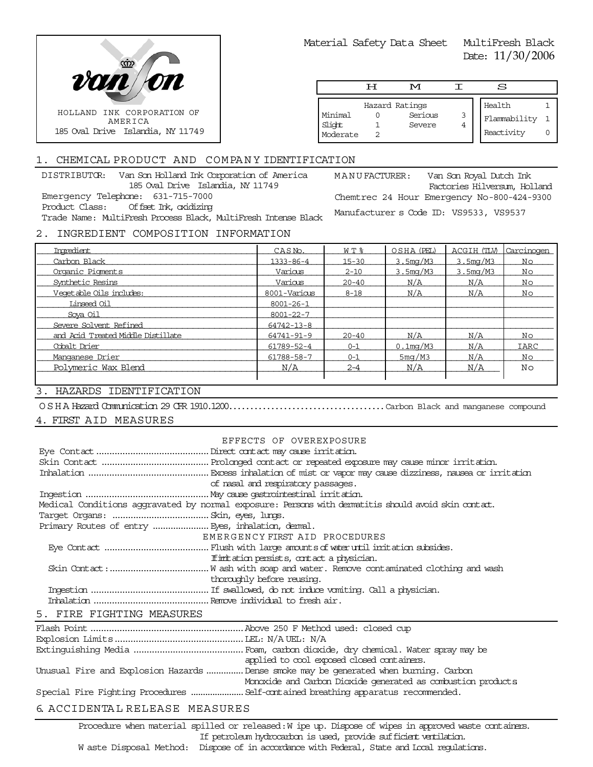

Material Safety Data Sheet MultiFresh Black

Date: 11/30/2006

|                               | ਸ | M                                   |        | S                                    |  |
|-------------------------------|---|-------------------------------------|--------|--------------------------------------|--|
| Minimal<br>Slight<br>Moderate |   | Hazard Ratings<br>Serious<br>Severe | 3<br>4 | Health<br>Flammability<br>Reactivity |  |

# 1. CHEMICAL PRODUCT AND COMPANY IDENTIFICATION

DISTRIBUTOR: Van Son Holland Ink Corporation of America 185 Oval Drive Islandia, NY 11749 Emergency Telephone: 631-715-7000 Product Class: Offset Ink, oxidizing Trade Name: MultiFresh Process Black, MultiFresh Intense Black MANUFACTURER: Van Son Royal Dutch Ink Factories Hilversum, Holland Chemtrec 24 Hour Emergency No-800-424-9300 Manufacturer s Code ID: VS9533, VS9537 2. INGREDIENT COMPOSITION INFORMATION

#### Ingredient  $\begin{array}{ccc} \text{In}**1** & \text{In}**1** \end{array}$   $\begin{array}{ccc} \text{CAS No.} & \text{N} & \text{N} & \text{S} & \text{OSHA (PEL)} & \text{ACGIH (IM)} \end{array}$ \_\_\_\_\_\_\_\_\_\_\_\_\_\_\_\_\_\_\_\_\_\_\_\_\_\_\_\_\_\_\_\_\_\_\_\_\_\_\_\_\_\_\_\_\_\_\_\_\_\_\_\_\_\_\_\_\_\_\_\_\_\_\_\_\_\_\_\_\_\_\_\_\_\_\_\_\_\_\_\_\_\_\_\_\_\_\_\_\_\_\_\_\_\_\_\_ \_\_\_\_\_\_\_\_\_\_\_\_\_\_\_\_\_\_\_\_\_\_\_\_\_\_\_\_\_\_\_\_\_\_\_\_\_\_\_\_\_\_\_\_\_\_\_\_\_\_\_\_\_\_\_\_\_\_\_\_\_\_\_\_\_\_\_\_\_\_\_\_\_\_\_\_\_\_\_\_\_\_\_\_\_\_\_\_\_\_\_\_\_\_\_\_ Organic Pigments Various 2-10 3.5mg/M3 3.5mg/M3 No \_\_\_\_\_\_\_\_\_\_\_\_\_\_\_\_\_\_\_\_\_\_\_\_\_\_\_\_\_\_\_\_\_\_\_\_\_\_\_\_\_\_\_\_\_\_\_\_\_\_\_\_\_\_\_\_\_\_\_\_\_\_\_\_\_\_\_\_\_\_\_\_\_\_\_\_\_\_\_\_\_\_\_\_\_\_\_\_\_\_\_\_\_\_\_\_ \_\_\_\_\_\_\_\_\_\_\_\_\_\_\_\_\_\_\_\_\_\_\_\_\_\_\_\_\_\_\_\_\_\_\_\_\_\_\_\_\_\_\_\_\_\_\_\_\_\_\_\_\_\_\_\_\_\_\_\_\_\_\_\_\_\_\_\_\_\_\_\_\_\_\_\_\_\_\_\_\_\_\_\_\_\_\_\_\_\_\_\_\_\_\_\_ Vegetable Oils includes: 8001-Various 8-18 N/A N/A No \_\_\_\_\_\_\_\_\_\_\_\_\_\_\_\_\_\_\_\_\_\_\_\_\_\_\_\_\_\_\_\_\_\_\_\_\_\_\_\_\_\_\_\_\_\_\_\_\_\_\_\_\_\_\_\_\_\_\_\_\_\_\_\_\_\_\_\_\_\_\_\_\_\_\_\_\_\_\_\_\_\_\_\_\_\_\_\_\_\_\_\_\_\_\_\_ \_\_\_\_\_\_\_\_\_\_\_\_\_\_\_\_\_\_\_\_\_\_\_\_\_\_\_\_\_\_\_\_\_\_\_\_\_\_\_\_\_\_\_\_\_\_\_\_\_\_\_\_\_\_\_\_\_\_\_\_\_\_\_\_\_\_\_\_\_\_\_\_\_\_\_\_\_\_\_\_\_\_\_\_\_\_\_\_\_\_\_\_\_\_\_\_ \_\_\_\_\_\_\_\_\_\_\_\_\_\_\_\_\_\_\_\_\_\_\_\_\_\_\_\_\_\_\_\_\_\_\_\_\_\_\_\_\_\_\_\_\_\_\_\_\_\_\_\_\_\_\_\_\_\_\_\_\_\_\_\_\_\_\_\_\_\_\_\_\_\_\_\_\_\_\_\_\_\_\_\_\_\_\_\_\_\_\_\_\_\_\_\_ Severe Solvent Refined 64742-13-8 \_\_\_\_\_\_\_\_\_\_\_\_\_\_\_\_\_\_\_\_\_\_\_\_\_\_\_\_\_\_\_\_\_\_\_\_\_\_\_\_\_\_\_\_\_\_\_\_\_\_\_\_\_\_\_\_\_\_\_\_\_\_\_\_\_\_\_\_\_\_\_\_\_\_\_\_\_\_\_\_\_\_\_\_\_\_\_\_\_\_\_\_\_\_\_\_ and Acid Treated Middle Distillate 64741-91-9 20-40 N/A N/A No \_\_\_\_\_\_\_\_\_\_\_\_\_\_\_\_\_\_\_\_\_\_\_\_\_\_\_\_\_\_\_\_\_\_\_\_\_\_\_\_\_\_\_\_\_\_\_\_\_\_\_\_\_\_\_\_\_\_\_\_\_\_\_\_\_\_\_\_\_\_\_\_\_\_\_\_\_\_\_\_\_\_\_\_\_\_\_\_\_\_\_\_\_\_\_\_ \_\_\_\_\_\_\_\_\_\_\_\_\_\_\_\_\_\_\_\_\_\_\_\_\_\_\_\_\_\_\_\_\_\_\_\_\_\_\_\_\_\_\_\_\_\_\_\_\_\_\_\_\_\_\_\_\_\_\_\_\_\_\_\_\_\_\_\_\_\_\_\_\_\_\_\_\_\_\_\_\_\_\_\_\_\_\_\_\_\_\_\_\_\_\_\_ Manganese Drier 61788-58-7 0-1 5mg/M3 N/A No \_\_\_\_\_\_\_\_\_\_\_\_\_\_\_\_\_\_\_\_\_\_\_\_\_\_\_\_\_\_\_\_\_\_\_\_\_\_\_\_\_\_\_\_\_\_\_\_\_\_\_\_\_\_\_\_\_\_\_\_\_\_\_\_\_\_\_\_\_\_\_\_\_\_\_\_\_\_\_\_\_\_\_\_\_\_ Polymeric Wax Blend N/A 2-4 N/A N/A No Ingredient CAS No. W T % OSHA (PEL) ACGIH (TLV) Carcinogen Carbon Black 1333-86-4 1333-86-4 15-30 3.5mg/M3 3.5mg/M3 No Synthetic Resins Various 20-40 N/A N/A No Linseed Oil 8001-26-1 Soya Oil 8001-22-7 Cobalt Drier  $N/A$  IARC  $61789-52-4$   $0-1$   $0.1$ mg/M3  $N/A$  IARC

# 3. HAZARDS IDENTIFICATION

OSHA Hazard Communication 29 CFR 1910.1200.....................................Carbon Black and manganese compound

# 4. FIRST AID MEASURES

|                                                   | EFFECTS OF OVEREXPOSURE                                                                            |
|---------------------------------------------------|----------------------------------------------------------------------------------------------------|
|                                                   |                                                                                                    |
|                                                   |                                                                                                    |
|                                                   |                                                                                                    |
|                                                   | of nasal and respiratory passages.                                                                 |
|                                                   |                                                                                                    |
|                                                   | Medical Conditions aggravated by normal exposure: Persons with dematitis should avoid skin contat. |
|                                                   |                                                                                                    |
| Primary Routes of entry  Eyes, inhalation, demal. |                                                                                                    |
|                                                   | EMERGENCY FIRST AID PROCEDURES                                                                     |
|                                                   |                                                                                                    |
|                                                   | If initiation persists, contact a physician.                                                       |
|                                                   |                                                                                                    |
|                                                   | thoroughly before reusing.                                                                         |
|                                                   |                                                                                                    |
|                                                   |                                                                                                    |
| 5. FIRE FIGHTING MEASURES                         |                                                                                                    |
|                                                   |                                                                                                    |

| applied to cool exposed closed containers.                                            |
|---------------------------------------------------------------------------------------|
| Unusual Fire and Explosion Hazards  Dense smoke may be generated when burning. Carbon |
| Monoxide and Carbon Dioxide generated as combustion products                          |
|                                                                                       |
|                                                                                       |

# 6. ACCIDENTA L RELEASE MEASURES

Procedure when material spilled or released: W ipe up. Dispose of wipes in approved waste containers. If petroleum hydrocarbon is used, provide sufficient ventilation. W aste Disposal Method: Dispose of in accordance with Federal, State and Local regulations.